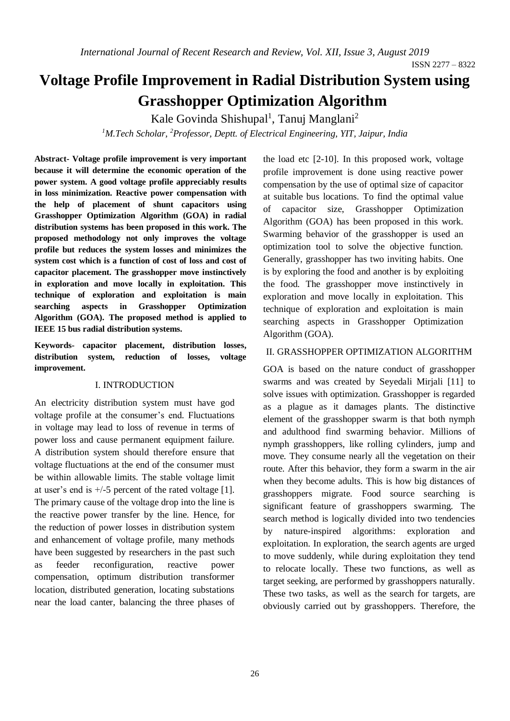# **Voltage Profile Improvement in Radial Distribution System using Grasshopper Optimization Algorithm**

Kale Govinda Shishupal<sup>1</sup>, Tanuj Manglani<sup>2</sup> *<sup>1</sup>M.Tech Scholar, <sup>2</sup>Professor, Deptt. of Electrical Engineering, YIT, Jaipur, India*

**Abstract- Voltage profile improvement is very important because it will determine the economic operation of the power system. A good voltage profile appreciably results in loss minimization. Reactive power compensation with the help of placement of shunt capacitors using Grasshopper Optimization Algorithm (GOA) in radial distribution systems has been proposed in this work. The proposed methodology not only improves the voltage profile but reduces the system losses and minimizes the system cost which is a function of cost of loss and cost of capacitor placement. The grasshopper move instinctively in exploration and move locally in exploitation. This technique of exploration and exploitation is main searching aspects in Grasshopper Optimization Algorithm (GOA). The proposed method is applied to IEEE 15 bus radial distribution systems.** 

**Keywords- capacitor placement, distribution losses, distribution system, reduction of losses, voltage improvement.**

#### I. INTRODUCTION

An electricity distribution system must have god voltage profile at the consumer's end. Fluctuations in voltage may lead to loss of revenue in terms of power loss and cause permanent equipment failure. A distribution system should therefore ensure that voltage fluctuations at the end of the consumer must be within allowable limits. The stable voltage limit at user's end is  $+/-5$  percent of the rated voltage [1]. The primary cause of the voltage drop into the line is the reactive power transfer by the line. Hence, for the reduction of power losses in distribution system and enhancement of voltage profile, many methods have been suggested by researchers in the past such as feeder reconfiguration, reactive power compensation, optimum distribution transformer location, distributed generation, locating substations near the load canter, balancing the three phases of the load etc [2-10]. In this proposed work, voltage profile improvement is done using reactive power compensation by the use of optimal size of capacitor at suitable bus locations. To find the optimal value of capacitor size, Grasshopper Optimization Algorithm (GOA) has been proposed in this work. Swarming behavior of the grasshopper is used an optimization tool to solve the objective function. Generally, grasshopper has two inviting habits. One is by exploring the food and another is by exploiting the food. The grasshopper move instinctively in exploration and move locally in exploitation. This technique of exploration and exploitation is main searching aspects in Grasshopper Optimization Algorithm (GOA).

# II. GRASSHOPPER OPTIMIZATION ALGORITHM

GOA is based on the nature conduct of grasshopper swarms and was created by Seyedali Mirjali [11] to solve issues with optimization. Grasshopper is regarded as a plague as it damages plants. The distinctive element of the grasshopper swarm is that both nymph and adulthood find swarming behavior. Millions of nymph grasshoppers, like rolling cylinders, jump and move. They consume nearly all the vegetation on their route. After this behavior, they form a swarm in the air when they become adults. This is how big distances of grasshoppers migrate. Food source searching is significant feature of grasshoppers swarming. The search method is logically divided into two tendencies by nature-inspired algorithms: exploration exploitation. In exploration, the search agents are urged to move suddenly, while during exploitation they tend to relocate locally. These two functions, as well as target seeking, are performed by grasshoppers naturally. These two tasks, as well as the search for targets, are obviously carried out by grasshoppers. Therefore, the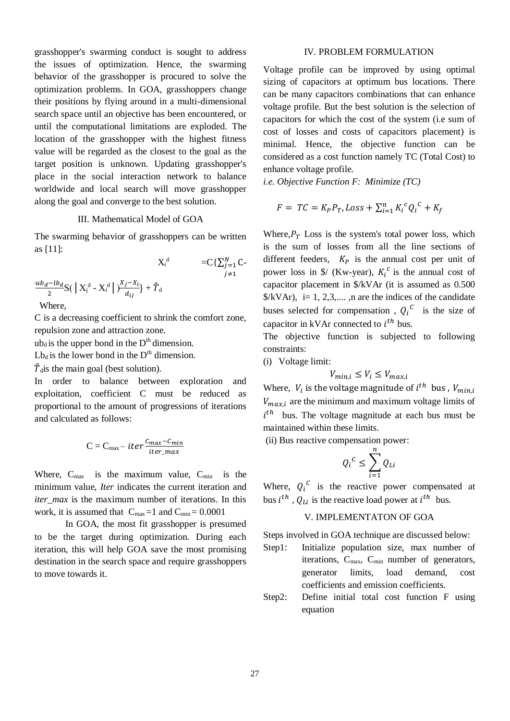grasshopper's swarming conduct is sought to address the issues of optimization. Hence, the swarming behavior of the grasshopper is procured to solve the optimization problems. In GOA, grasshoppers change their positions by flying around in a multi-dimensional search space until an objective has been encountered, or until the computational limitations are exploded. The location of the grasshopper with the highest fitness value will be regarded as the closest to the goal as the target position is unknown. Updating grasshopper's place in the social interaction network to balance worldwide and local search will move grasshopper along the goal and converge to the best solution.

### III. Mathematical Model of GOA

The swarming behavior of grasshoppers can be written as [11]:  $\lambda$ r

$$
X_i^d = C\{\sum_{j=1}^N C - \sum_{j \neq 1}^N C - \sum_{j \neq 1}^N C - \sum_{j \neq 1}^N C - \sum_{j \neq 1}^N C - \sum_{j \neq 1}^N C - \sum_{j \neq 1}^N C - \sum_{j \neq 1}^N C - \sum_{j \neq 1}^N C - \sum_{j \neq 1}^N C - \sum_{j \neq 1}^N C - \sum_{j \neq 1}^N C - \sum_{j \neq 1}^N C - \sum_{j \neq 1}^N C - \sum_{j \neq 1}^N C - \sum_{j \neq 1}^N C - \sum_{j \neq 1}^N C - \sum_{j \neq 1}^N C - \sum_{j \neq 1}^N C - \sum_{j \neq 1}^N C - \sum_{j \neq 1}^N C - \sum_{j \neq 1}^N C - \sum_{j \neq 1}^N C - \sum_{j \neq 1}^N C - \sum_{j \neq 1}^N C - \sum_{j \neq 1}^N C - \sum_{j \neq 1}^N C - \sum_{j \neq 1}^N C - \sum_{j \neq 1}^N C - \sum_{j \neq 1}^N C - \sum_{j \neq 1}^N C - \sum_{j \neq 1}^N C - \sum_{j \neq 1}^N C - \sum_{j \neq 1}^N C - \sum_{j \neq 1}^N C - \sum_{j \neq 1}^N C - \sum_{j \neq 1}^N C - \sum_{j \neq 1}^N C - \sum_{j \neq 1}^N C - \sum_{j \neq 1}^N C - \sum_{j \neq 1}^N C - \sum_{j \neq 1}^N C - \sum_{j \neq 1}^N C - \sum_{j \neq 1}^N C - \sum_{j \neq 1}^N C - \sum_{j \neq 1}^N C - \sum_{j \neq 1}^N C - \sum_{j \neq 1}^N C - \sum_{j \neq 1}^N C - \sum_{j \neq 1}^N C - \sum_{j \neq 1}^N C - \sum_{j \neq 1}^N C - \sum_{j \neq 1}^N C - \sum_{j \neq 1}^N C
$$

C is a decreasing coefficient to shrink the comfort zone, repulsion zone and attraction zone.

 $ub<sub>d</sub>$  is the upper bond in the  $D<sup>th</sup>$  dimension.

 $L_{\text{d}}$  is the lower bond in the D<sup>th</sup> dimension.

 $\hat{T}_{\text{d}}$  is the main goal (best solution).

In order to balance between exploration and exploitation, coefficient C must be reduced as proportional to the amount of progressions of iterations and calculated as follows:

$$
C = C_{\text{max}} - iter \frac{c_{\text{max}} - c_{\text{min}}}{iter\_max}
$$

Where,  $C_{\text{max}}$  is the maximum value,  $C_{\text{min}}$  is the minimum value, *Iter* indicates the current iteration and *iter\_max* is the maximum number of iterations. In this work, it is assumed that  $C_{\text{max}} = 1$  and  $C_{\text{min}} = 0.0001$ 

In GOA, the most fit grasshopper is presumed to be the target during optimization. During each iteration, this will help GOA save the most promising destination in the search space and require grasshoppers to move towards it.

# IV. PROBLEM FORMULATION

Voltage profile can be improved by using optimal sizing of capacitors at optimum bus locations. There can be many capacitors combinations that can enhance voltage profile. But the best solution is the selection of capacitors for which the cost of the system (i.e sum of cost of losses and costs of capacitors placement) is minimal. Hence, the objective function can be considered as a cost function namely TC (Total Cost) to enhance voltage profile.

*i.e. Objective Function F: Minimize (TC)*

$$
F = TC = K_p P_T, Loss + \sum_{i=1}^{n} K_i^c Q_i^c + K_f
$$

Where,  $P_T$  Loss is the system's total power loss, which is the sum of losses from all the line sections of different feeders,  $K_p$  is the annual cost per unit of power loss in \$/ (Kw-year),  $K_i^c$  is the annual cost of capacitor placement in \$/kVAr (it is assumed as 0.500  $\frac{\frac{1}{2}}{kVAr}$ , i= 1, 2,3,..., n are the indices of the candidate buses selected for compensation,  $Q_i^c$  is the size of capacitor in kVAr connected to  $i^{th}$  bus.

The objective function is subjected to following constraints:

(i) Voltage limit:

$$
V_{min,i} \le V_i \le V_{max,i}
$$

Where,  $V_i$  is the voltage magnitude of  $i^{th}$  bus ,  $V_{min,i}$  $V_{max,i}$  are the minimum and maximum voltage limits of  $i<sup>th</sup>$  bus. The voltage magnitude at each bus must be maintained within these limits.

(ii) Bus reactive compensation power:

$$
{Q_i}^C \leq \sum_{i=1}^n Q_{Li}
$$

Where,  $Q_i^c$  is the reactive power compensated at bus  $i^{th}$ ,  $Q_{Li}$  is the reactive load power at  $i^{th}$  bus.

## V. IMPLEMENTATON OF GOA

Steps involved in GOA technique are discussed below:

- Step1: Initialize population size, max number of iterations,  $C_{\text{max}}$ ,  $C_{\text{min}}$  number of generators, generator limits, load demand, cost coefficients and emission coefficients.
- Step2: Define initial total cost function F using equation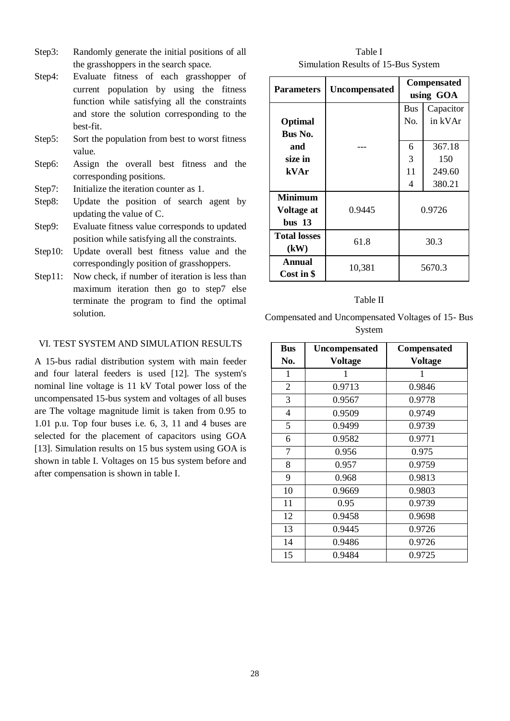- Step3: Randomly generate the initial positions of all the grasshoppers in the search space.
- Step4: Evaluate fitness of each grasshopper of current population by using the fitness function while satisfying all the constraints and store the solution corresponding to the best-fit.
- Step5: Sort the population from best to worst fitness value.
- Step6: Assign the overall best fitness and the corresponding positions.
- Step7: Initialize the iteration counter as 1.
- Step8: Update the position of search agent by updating the value of C.
- Step9: Evaluate fitness value corresponds to updated position while satisfying all the constraints.
- Step10: Update overall best fitness value and the correspondingly position of grasshoppers.
- Step11: Now check, if number of iteration is less than maximum iteration then go to step7 else terminate the program to find the optimal solution.

# VI. TEST SYSTEM AND SIMULATION RESULTS

A 15-bus radial distribution system with main feeder and four lateral feeders is used [12]. The system's nominal line voltage is 11 kV Total power loss of the uncompensated 15-bus system and voltages of all buses are The voltage magnitude limit is taken from 0.95 to 1.01 p.u. Top four buses i.e. 6, 3, 11 and 4 buses are selected for the placement of capacitors using GOA [13]. Simulation results on 15 bus system using GOA is shown in table I. Voltages on 15 bus system before and after compensation is shown in table I.

Table I Simulation Results of 15-Bus System

| <b>Parameters</b>   | <b>Uncompensated</b> | Compensated |           |
|---------------------|----------------------|-------------|-----------|
|                     |                      | using GOA   |           |
|                     |                      | <b>Bus</b>  | Capacitor |
| Optimal             |                      | No.         | in kVAr   |
| Bus No.             |                      |             |           |
| and                 |                      | 6           | 367.18    |
| size in             |                      | 3           | 150       |
| kVAr                |                      | 11          | 249.60    |
|                     |                      | 4           | 380.21    |
| <b>Minimum</b>      |                      |             |           |
| Voltage at          | 0.9445               | 0.9726      |           |
| $bus$ 13            |                      |             |           |
| <b>Total losses</b> | 61.8                 | 30.3        |           |
| (kW)                |                      |             |           |
| Annual              | 10,381               | 5670.3      |           |
| Cost in \$          |                      |             |           |

#### Table II

Compensated and Uncompensated Voltages of 15- Bus System

| <b>Bus</b>     | <b>Uncompensated</b> | <b>Compensated</b> |  |  |
|----------------|----------------------|--------------------|--|--|
| No.            | Voltage              | <b>Voltage</b>     |  |  |
| 1              | 1                    | 1                  |  |  |
| $\overline{2}$ | 0.9713               | 0.9846             |  |  |
| 3              | 0.9567               | 0.9778             |  |  |
| 4              | 0.9509               | 0.9749             |  |  |
| 5              | 0.9499               | 0.9739             |  |  |
| 6              | 0.9582               | 0.9771             |  |  |
| 7              | 0.956                | 0.975              |  |  |
| 8              | 0.957                | 0.9759             |  |  |
| 9              | 0.968                | 0.9813             |  |  |
| 10             | 0.9669               | 0.9803             |  |  |
| 11             | 0.95                 | 0.9739             |  |  |
| 12             | 0.9458               | 0.9698             |  |  |
| 13             | 0.9445               | 0.9726             |  |  |
| 14             | 0.9486               | 0.9726             |  |  |
| 15             | 0.9484               | 0.9725             |  |  |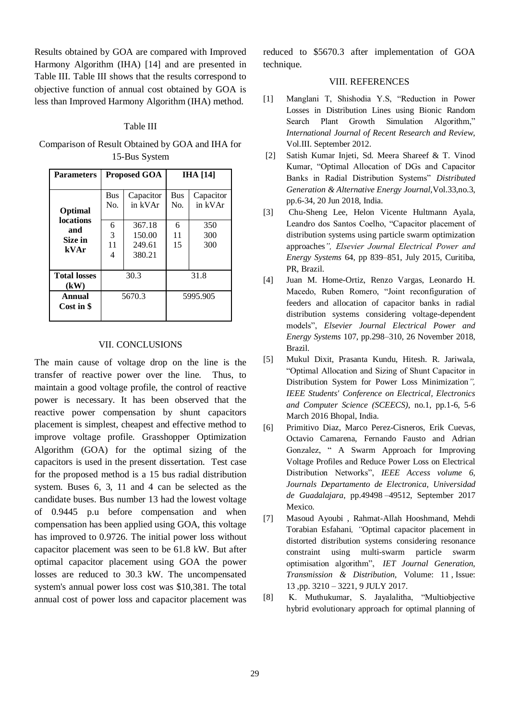Results obtained by GOA are compared with Improved Harmony Algorithm (IHA) [14] and are presented in Table III. Table III shows that the results correspond to objective function of annual cost obtained by GOA is less than Improved Harmony Algorithm (IHA) method.

#### Table III

Comparison of Result Obtained by GOA and IHA for 15-Bus System

| <b>Parameters</b>                                     | <b>Proposed GOA</b> |                                      | <b>IHA</b> [14]   |                      |
|-------------------------------------------------------|---------------------|--------------------------------------|-------------------|----------------------|
| Optimal<br><b>locations</b><br>and<br>Size in<br>kVAr | <b>Bus</b><br>No.   | Capacitor<br>in kVAr                 | <b>Bus</b><br>No. | Capacitor<br>in kVAr |
|                                                       | 6<br>3<br>11<br>4   | 367.18<br>150.00<br>249.61<br>380.21 | 6<br>11<br>15     | 350<br>300<br>300    |
| <b>Total losses</b><br>(kW)                           | 30.3                |                                      | 31.8              |                      |
| Annual<br>Cost in \$                                  | 5670.3              |                                      | 5995.905          |                      |

## VII. CONCLUSIONS

The main cause of voltage drop on the line is the transfer of reactive power over the line. Thus, to maintain a good voltage profile, the control of reactive power is necessary. It has been observed that the reactive power compensation by shunt capacitors placement is simplest, cheapest and effective method to improve voltage profile. Grasshopper Optimization Algorithm (GOA) for the optimal sizing of the capacitors is used in the present dissertation. Test case for the proposed method is a 15 bus radial distribution system. Buses 6, 3, 11 and 4 can be selected as the candidate buses. Bus number 13 had the lowest voltage of 0.9445 p.u before compensation and when compensation has been applied using GOA, this voltage has improved to 0.9726. The initial power loss without capacitor placement was seen to be 61.8 kW. But after optimal capacitor placement using GOA the power losses are reduced to 30.3 kW. The uncompensated system's annual power loss cost was \$10,381. The total annual cost of power loss and capacitor placement was

reduced to \$5670.3 after implementation of GOA technique.

#### VIII. REFERENCES

- [1] Manglani T, Shishodia Y.S, "Reduction in Power Losses in Distribution Lines using Bionic Random Search Plant Growth Simulation Algorithm," *International Journal of Recent Research and Review,* Vol.III. September 2012.
- [2] Satish Kumar Injeti, Sd. Meera Shareef & T. Vinod Kumar, "Optimal Allocation of DGs and Capacitor Banks in Radial Distribution Systems" *Distributed Generation & Alternative Energy Journal,*Vol.33,no.3, pp.6-34, 20 Jun 2018, India.
- [3] Chu-Sheng Lee, Helon Vicente Hultmann Ayala, Leandro dos Santos Coelho, "Capacitor placement of distribution systems using particle swarm optimization approaches*", Elsevier Journal Electrical Power and Energy Systems* 64, pp 839–851, July 2015, Curitiba, PR, Brazil.
- [4] Juan M. Home-Ortiz, Renzo Vargas, Leonardo H. Macedo, Ruben Romero, "Joint reconfiguration of feeders and allocation of capacitor banks in radial distribution systems considering voltage-dependent models", *Elsevier Journal Electrical Power and Energy Systems* 107, pp.298–310, 26 November 2018, Brazil.
- [5] Mukul Dixit, Prasanta Kundu, Hitesh. R. Jariwala, "Optimal Allocation and Sizing of Shunt Capacitor in Distribution System for Power Loss Minimization*", [IEEE Students' Conference on Electrical, Electronics](https://ieeexplore.ieee.org/xpl/mostRecentIssue.jsp?punumber=7504851)  [and Computer Science \(SCEECS\)](https://ieeexplore.ieee.org/xpl/mostRecentIssue.jsp?punumber=7504851)*, no.1, pp.1-6, 5-6 March 2016 Bhopal, India.
- [6] Primitivo Diaz, Marco Perez-Cisneros, Erik Cuevas, Octavio Camarena, Fernando Fausto and Adrian Gonzalez, " A Swarm Approach for Improving Voltage Profiles and Reduce Power Loss on Electrical Distribution Networks", *IEEE Access volume 6, Journals Departamento de Electronica, Universidad de Guadalajara*, pp.49498 –49512, September 2017 Mexico.
- [7] Masoud Ayoubi , Rahmat-Allah Hooshmand, Mehdi Torabian Esfahani*, "*Optimal capacitor placement in distorted distribution systems considering resonance constraint using multi-swarm particle swarm optimisation algorithm", *[IET Journal Generation,](https://ieeexplore.ieee.org/xpl/RecentIssue.jsp?punumber=4082359)  [Transmission & Distribution,](https://ieeexplore.ieee.org/xpl/RecentIssue.jsp?punumber=4082359)* Volume: 11 , [Issue:](https://ieeexplore.ieee.org/xpl/tocresult.jsp?isnumber=8063022)  [13](https://ieeexplore.ieee.org/xpl/tocresult.jsp?isnumber=8063022) ,pp. 3210 – 3221, 9 JULY 2017.
- [8] K. Muthukumar, S. Jayalalitha, "Multiobjective hybrid evolutionary approach for optimal planning of